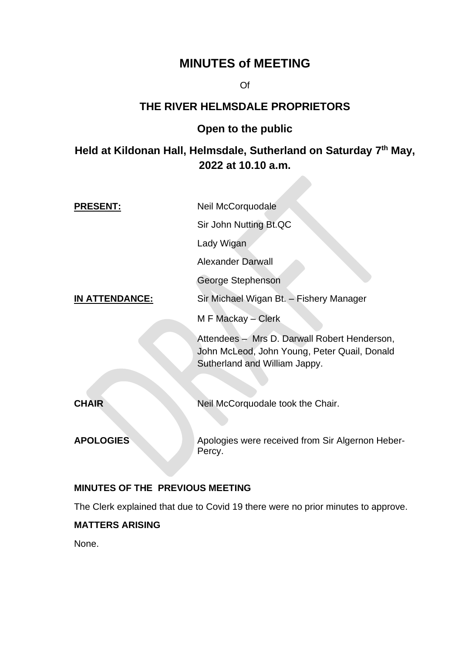# **MINUTES of MEETING**

Of

## **THE RIVER HELMSDALE PROPRIETORS**

## **Open to the public**

## **Held at Kildonan Hall, Helmsdale, Sutherland on Saturday 7 th May, 2022 at 10.10 a.m.**

| <b>PRESENT:</b>       | Neil McCorquodale                                                                                                             |
|-----------------------|-------------------------------------------------------------------------------------------------------------------------------|
|                       | Sir John Nutting Bt.QC                                                                                                        |
|                       | Lady Wigan                                                                                                                    |
|                       | <b>Alexander Darwall</b>                                                                                                      |
|                       | George Stephenson                                                                                                             |
| <u>IN ATTENDANCE:</u> | Sir Michael Wigan Bt. - Fishery Manager                                                                                       |
|                       | M F Mackay – Clerk                                                                                                            |
|                       | Attendees - Mrs D. Darwall Robert Henderson,<br>John McLeod, John Young, Peter Quail, Donald<br>Sutherland and William Jappy. |
| <b>CHAIR</b>          | Neil McCorquodale took the Chair.                                                                                             |
|                       |                                                                                                                               |
| <b>APOLOGIES</b>      | Apologies were received from Sir Algernon Heber-<br>Percy.                                                                    |

## **MINUTES OF THE PREVIOUS MEETING**

The Clerk explained that due to Covid 19 there were no prior minutes to approve.

## **MATTERS ARISING**

None.